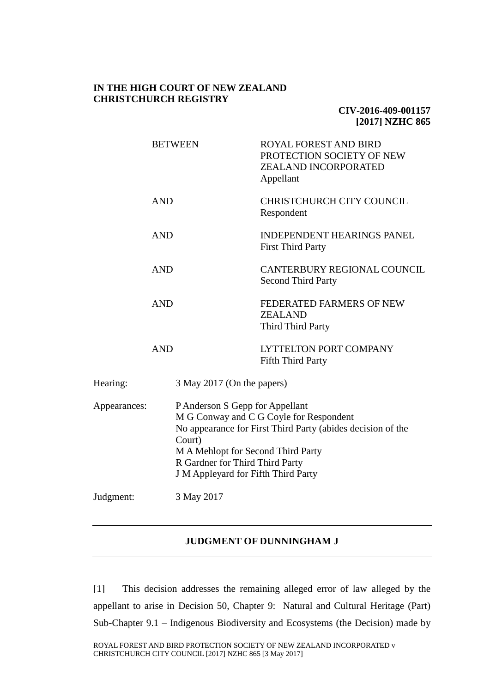### **IN THE HIGH COURT OF NEW ZEALAND CHRISTCHURCH REGISTRY**

## **CIV-2016-409-001157 [2017] NZHC 865**

|              |            | <b>BETWEEN</b>                                                                                                                                                                                                                                                      | <b>ROYAL FOREST AND BIRD</b><br>PROTECTION SOCIETY OF NEW<br>ZEALAND INCORPORATED<br>Appellant |
|--------------|------------|---------------------------------------------------------------------------------------------------------------------------------------------------------------------------------------------------------------------------------------------------------------------|------------------------------------------------------------------------------------------------|
|              | <b>AND</b> |                                                                                                                                                                                                                                                                     | <b>CHRISTCHURCH CITY COUNCIL</b><br>Respondent                                                 |
|              | <b>AND</b> |                                                                                                                                                                                                                                                                     | <b>INDEPENDENT HEARINGS PANEL</b><br><b>First Third Party</b>                                  |
|              | <b>AND</b> |                                                                                                                                                                                                                                                                     | CANTERBURY REGIONAL COUNCIL<br><b>Second Third Party</b>                                       |
|              | <b>AND</b> |                                                                                                                                                                                                                                                                     | FEDERATED FARMERS OF NEW<br><b>ZEALAND</b><br>Third Third Party                                |
|              | <b>AND</b> |                                                                                                                                                                                                                                                                     | <b>LYTTELTON PORT COMPANY</b><br><b>Fifth Third Party</b>                                      |
| Hearing:     |            | 3 May 2017 (On the papers)                                                                                                                                                                                                                                          |                                                                                                |
| Appearances: |            | P Anderson S Gepp for Appellant<br>M G Conway and C G Coyle for Respondent<br>No appearance for First Third Party (abides decision of the<br>Court)<br>M A Mehlopt for Second Third Party<br>R Gardner for Third Third Party<br>J M Appleyard for Fifth Third Party |                                                                                                |
| Judgment:    |            | 3 May 2017                                                                                                                                                                                                                                                          |                                                                                                |
|              |            |                                                                                                                                                                                                                                                                     |                                                                                                |

# **JUDGMENT OF DUNNINGHAM J**

[1] This decision addresses the remaining alleged error of law alleged by the appellant to arise in Decision 50, Chapter 9: Natural and Cultural Heritage (Part) Sub-Chapter 9.1 – Indigenous Biodiversity and Ecosystems (the Decision) made by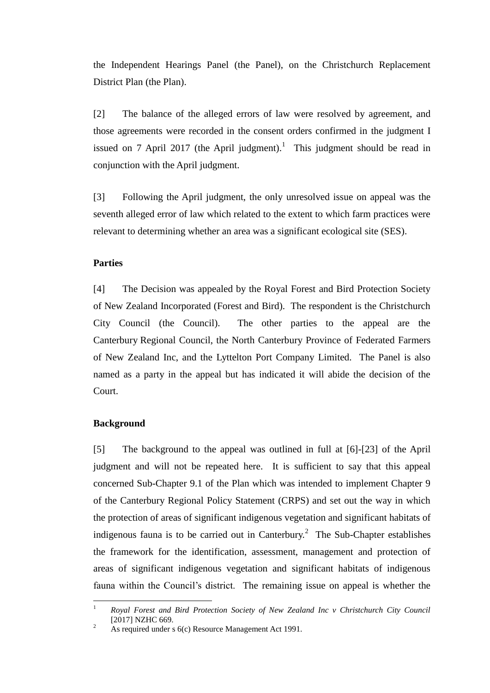the Independent Hearings Panel (the Panel), on the Christchurch Replacement District Plan (the Plan).

[2] The balance of the alleged errors of law were resolved by agreement, and those agreements were recorded in the consent orders confirmed in the judgment I issued on 7 April 2017 (the April judgment).<sup>1</sup> This judgment should be read in conjunction with the April judgment.

[3] Following the April judgment, the only unresolved issue on appeal was the seventh alleged error of law which related to the extent to which farm practices were relevant to determining whether an area was a significant ecological site (SES).

### **Parties**

[4] The Decision was appealed by the Royal Forest and Bird Protection Society of New Zealand Incorporated (Forest and Bird). The respondent is the Christchurch City Council (the Council). The other parties to the appeal are the Canterbury Regional Council, the North Canterbury Province of Federated Farmers of New Zealand Inc, and the Lyttelton Port Company Limited. The Panel is also named as a party in the appeal but has indicated it will abide the decision of the Court.

#### **Background**

[5] The background to the appeal was outlined in full at [6]-[23] of the April judgment and will not be repeated here. It is sufficient to say that this appeal concerned Sub-Chapter 9.1 of the Plan which was intended to implement Chapter 9 of the Canterbury Regional Policy Statement (CRPS) and set out the way in which the protection of areas of significant indigenous vegetation and significant habitats of indigenous fauna is to be carried out in Canterbury.<sup>2</sup> The Sub-Chapter establishes the framework for the identification, assessment, management and protection of areas of significant indigenous vegetation and significant habitats of indigenous fauna within the Council's district. The remaining issue on appeal is whether the

 $\overline{1}$ <sup>1</sup> *Royal Forest and Bird Protection Society of New Zealand Inc v Christchurch City Council*  [2017] NZHC 669.

<sup>&</sup>lt;sup>2</sup> As required under s 6(c) Resource Management Act 1991.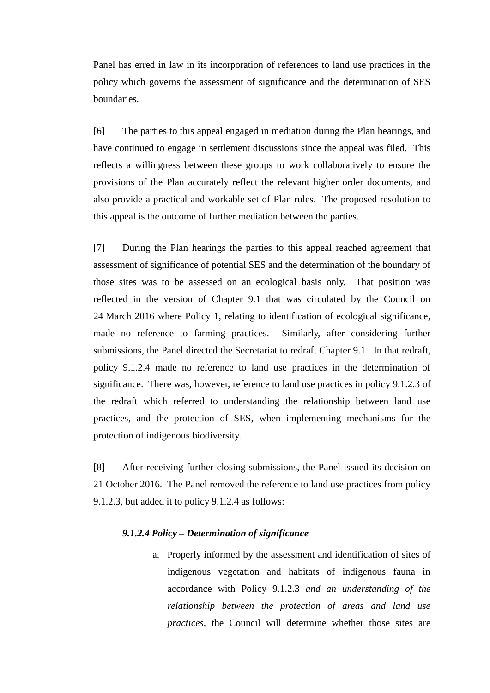Panel has erred in law in its incorporation of references to land use practices in the policy which governs the assessment of significance and the determination of SES boundaries.

[6] The parties to this appeal engaged in mediation during the Plan hearings, and have continued to engage in settlement discussions since the appeal was filed. This reflects a willingness between these groups to work collaboratively to ensure the provisions of the Plan accurately reflect the relevant higher order documents, and also provide a practical and workable set of Plan rules. The proposed resolution to this appeal is the outcome of further mediation between the parties.

[7] During the Plan hearings the parties to this appeal reached agreement that assessment of significance of potential SES and the determination of the boundary of those sites was to be assessed on an ecological basis only. That position was reflected in the version of Chapter 9.1 that was circulated by the Council on 24 March 2016 where Policy 1, relating to identification of ecological significance, made no reference to farming practices. Similarly, after considering further submissions, the Panel directed the Secretariat to redraft Chapter 9.1. In that redraft, policy 9.1.2.4 made no reference to land use practices in the determination of significance. There was, however, reference to land use practices in policy 9.1.2.3 of the redraft which referred to understanding the relationship between land use practices, and the protection of SES, when implementing mechanisms for the protection of indigenous biodiversity.

[8] After receiving further closing submissions, the Panel issued its decision on 21 October 2016. The Panel removed the reference to land use practices from policy 9.1.2.3, but added it to policy 9.1.2.4 as follows:

### *9.1.2.4 Policy – Determination of significance*

a. Properly informed by the assessment and identification of sites of indigenous vegetation and habitats of indigenous fauna in accordance with Policy 9.1.2.3 *and an understanding of the relationship between the protection of areas and land use practices,* the Council will determine whether those sites are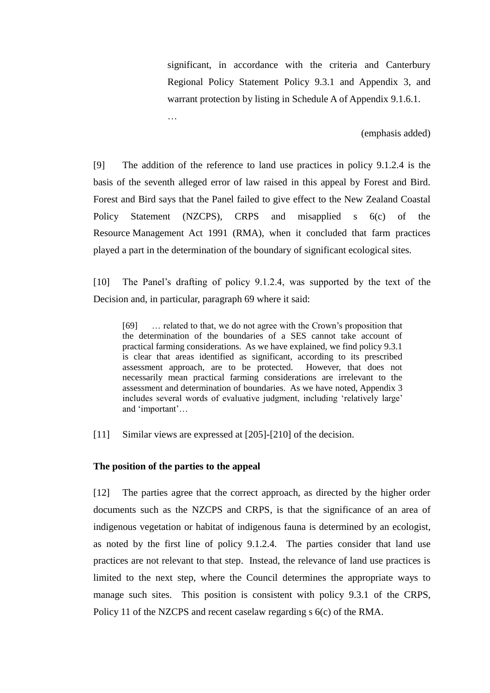significant, in accordance with the criteria and Canterbury Regional Policy Statement Policy 9.3.1 and Appendix 3, and warrant protection by listing in Schedule A of Appendix 9.1.6.1.

(emphasis added)

[9] The addition of the reference to land use practices in policy 9.1.2.4 is the basis of the seventh alleged error of law raised in this appeal by Forest and Bird. Forest and Bird says that the Panel failed to give effect to the New Zealand Coastal Policy Statement (NZCPS), CRPS and misapplied s 6(c) of the Resource Management Act 1991 (RMA), when it concluded that farm practices played a part in the determination of the boundary of significant ecological sites.

[10] The Panel's drafting of policy 9.1.2.4, was supported by the text of the Decision and, in particular, paragraph 69 where it said:

[69] … related to that, we do not agree with the Crown's proposition that the determination of the boundaries of a SES cannot take account of practical farming considerations. As we have explained, we find policy 9.3.1 is clear that areas identified as significant, according to its prescribed assessment approach, are to be protected. However, that does not necessarily mean practical farming considerations are irrelevant to the assessment and determination of boundaries. As we have noted, Appendix 3 includes several words of evaluative judgment, including 'relatively large' and 'important'…

[11] Similar views are expressed at [205]-[210] of the decision.

#### **The position of the parties to the appeal**

…

[12] The parties agree that the correct approach, as directed by the higher order documents such as the NZCPS and CRPS, is that the significance of an area of indigenous vegetation or habitat of indigenous fauna is determined by an ecologist, as noted by the first line of policy 9.1.2.4. The parties consider that land use practices are not relevant to that step. Instead, the relevance of land use practices is limited to the next step, where the Council determines the appropriate ways to manage such sites. This position is consistent with policy 9.3.1 of the CRPS, Policy 11 of the NZCPS and recent caselaw regarding s 6(c) of the RMA.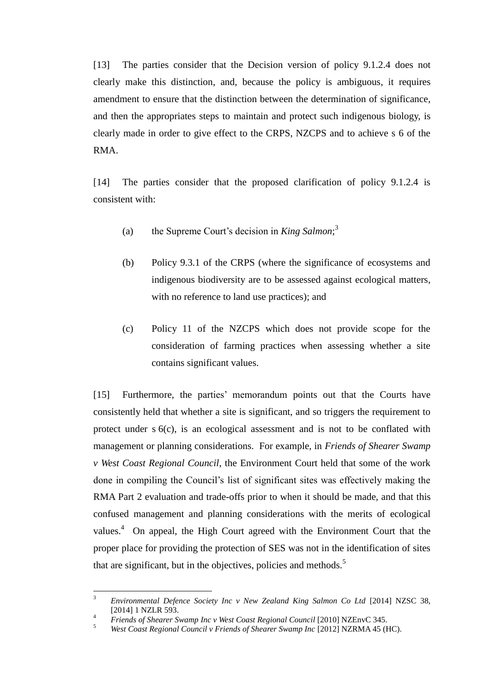[13] The parties consider that the Decision version of policy 9.1.2.4 does not clearly make this distinction, and, because the policy is ambiguous, it requires amendment to ensure that the distinction between the determination of significance, and then the appropriates steps to maintain and protect such indigenous biology, is clearly made in order to give effect to the CRPS, NZCPS and to achieve s 6 of the RMA.

[14] The parties consider that the proposed clarification of policy 9.1.2.4 is consistent with:

- (a) the Supreme Court's decision in *King Salmon*; 3
- (b) Policy 9.3.1 of the CRPS (where the significance of ecosystems and indigenous biodiversity are to be assessed against ecological matters, with no reference to land use practices); and
- (c) Policy 11 of the NZCPS which does not provide scope for the consideration of farming practices when assessing whether a site contains significant values.

[15] Furthermore, the parties' memorandum points out that the Courts have consistently held that whether a site is significant, and so triggers the requirement to protect under s 6(c), is an ecological assessment and is not to be conflated with management or planning considerations. For example, in *Friends of Shearer Swamp v West Coast Regional Council*, the Environment Court held that some of the work done in compiling the Council's list of significant sites was effectively making the RMA Part 2 evaluation and trade-offs prior to when it should be made, and that this confused management and planning considerations with the merits of ecological values. $4$  On appeal, the High Court agreed with the Environment Court that the proper place for providing the protection of SES was not in the identification of sites that are significant, but in the objectives, policies and methods.<sup>5</sup>

 $\overline{\mathbf{3}}$ <sup>3</sup> *Environmental Defence Society Inc v New Zealand King Salmon Co Ltd* [2014] NZSC 38, [2014] 1 NZLR 593.

<sup>&</sup>lt;sup>4</sup> *Friends of Shearer Swamp Inc v West Coast Regional Council* [2010] NZEnvC 345.<br><sup>5</sup> *West Coast Regional Council y Friends of Shearer System Inc [2012] NZPMA 45 (I* 

<sup>5</sup> *West Coast Regional Council v Friends of Shearer Swamp Inc* [2012] NZRMA 45 (HC).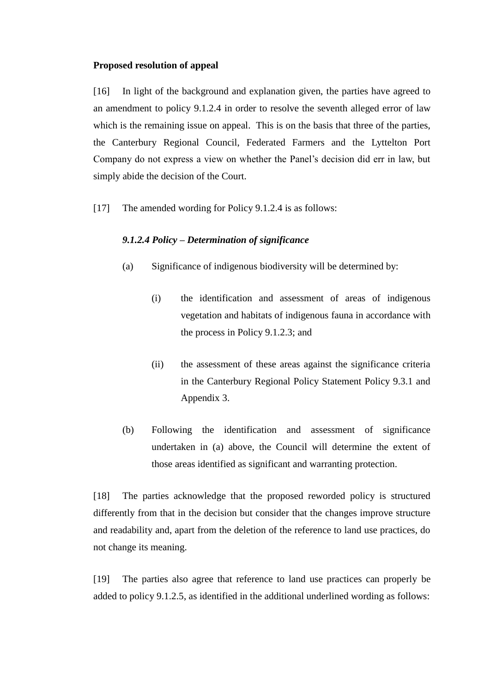#### **Proposed resolution of appeal**

[16] In light of the background and explanation given, the parties have agreed to an amendment to policy 9.1.2.4 in order to resolve the seventh alleged error of law which is the remaining issue on appeal. This is on the basis that three of the parties, the Canterbury Regional Council, Federated Farmers and the Lyttelton Port Company do not express a view on whether the Panel's decision did err in law, but simply abide the decision of the Court.

[17] The amended wording for Policy 9.1.2.4 is as follows:

### *9.1.2.4 Policy – Determination of significance*

- (a) Significance of indigenous biodiversity will be determined by:
	- (i) the identification and assessment of areas of indigenous vegetation and habitats of indigenous fauna in accordance with the process in Policy 9.1.2.3; and
	- (ii) the assessment of these areas against the significance criteria in the Canterbury Regional Policy Statement Policy 9.3.1 and Appendix 3.
- (b) Following the identification and assessment of significance undertaken in (a) above, the Council will determine the extent of those areas identified as significant and warranting protection.

[18] The parties acknowledge that the proposed reworded policy is structured differently from that in the decision but consider that the changes improve structure and readability and, apart from the deletion of the reference to land use practices, do not change its meaning.

[19] The parties also agree that reference to land use practices can properly be added to policy 9.1.2.5, as identified in the additional underlined wording as follows: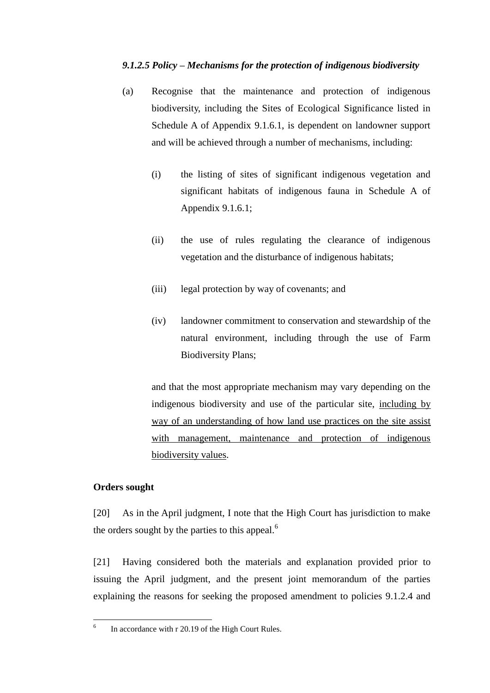# *9.1.2.5 Policy – Mechanisms for the protection of indigenous biodiversity*

- (a) Recognise that the maintenance and protection of indigenous biodiversity, including the Sites of Ecological Significance listed in Schedule A of Appendix 9.1.6.1, is dependent on landowner support and will be achieved through a number of mechanisms, including:
	- (i) the listing of sites of significant indigenous vegetation and significant habitats of indigenous fauna in Schedule A of Appendix 9.1.6.1;
	- (ii) the use of rules regulating the clearance of indigenous vegetation and the disturbance of indigenous habitats;
	- (iii) legal protection by way of covenants; and
	- (iv) landowner commitment to conservation and stewardship of the natural environment, including through the use of Farm Biodiversity Plans;

and that the most appropriate mechanism may vary depending on the indigenous biodiversity and use of the particular site, including by way of an understanding of how land use practices on the site assist with management, maintenance and protection of indigenous biodiversity values.

# **Orders sought**

[20] As in the April judgment, I note that the High Court has jurisdiction to make the orders sought by the parties to this appeal. $<sup>6</sup>$ </sup>

[21] Having considered both the materials and explanation provided prior to issuing the April judgment, and the present joint memorandum of the parties explaining the reasons for seeking the proposed amendment to policies 9.1.2.4 and

 $\frac{1}{6}$ In accordance with r 20.19 of the High Court Rules.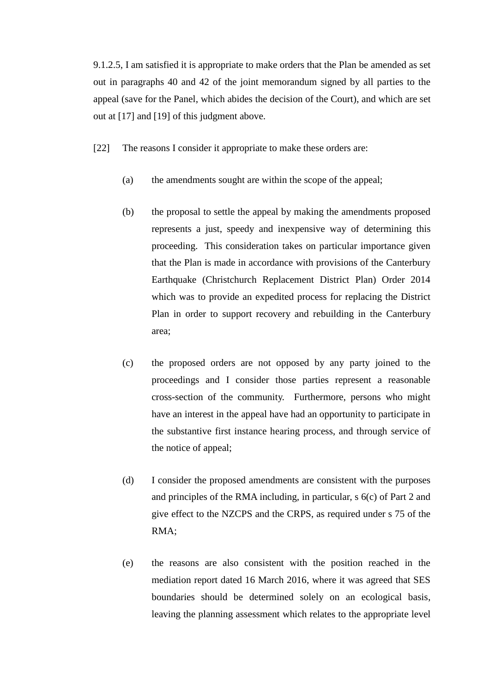9.1.2.5, I am satisfied it is appropriate to make orders that the Plan be amended as set out in paragraphs 40 and 42 of the joint memorandum signed by all parties to the appeal (save for the Panel, which abides the decision of the Court), and which are set out at [17] and [19] of this judgment above.

- [22] The reasons I consider it appropriate to make these orders are:
	- (a) the amendments sought are within the scope of the appeal;
	- (b) the proposal to settle the appeal by making the amendments proposed represents a just, speedy and inexpensive way of determining this proceeding. This consideration takes on particular importance given that the Plan is made in accordance with provisions of the Canterbury Earthquake (Christchurch Replacement District Plan) Order 2014 which was to provide an expedited process for replacing the District Plan in order to support recovery and rebuilding in the Canterbury area;
	- (c) the proposed orders are not opposed by any party joined to the proceedings and I consider those parties represent a reasonable cross-section of the community. Furthermore, persons who might have an interest in the appeal have had an opportunity to participate in the substantive first instance hearing process, and through service of the notice of appeal;
	- (d) I consider the proposed amendments are consistent with the purposes and principles of the RMA including, in particular, s 6(c) of Part 2 and give effect to the NZCPS and the CRPS, as required under s 75 of the RMA;
	- (e) the reasons are also consistent with the position reached in the mediation report dated 16 March 2016, where it was agreed that SES boundaries should be determined solely on an ecological basis, leaving the planning assessment which relates to the appropriate level